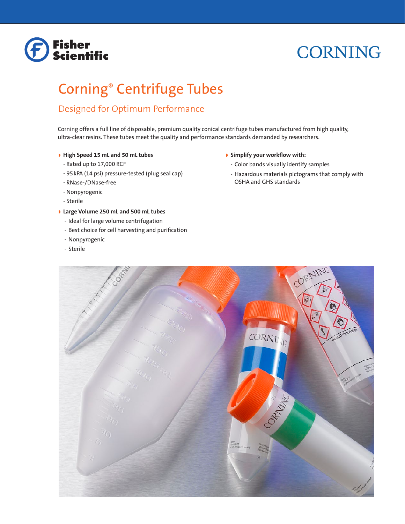# **Fisher<br>Scientific**

# **CORNING**

# Corning® Centrifuge Tubes

# Designed for Optimum Performance

Corning offers a full line of disposable, premium quality conical centrifuge tubes manufactured from high quality, ultra-clear resins. These tubes meet the quality and performance standards demanded by researchers.

# w **High Speed 15 mL and 50 mL tubes**

- Rated up to 17,000 RCF
- 95kPA (14 psi) pressure-tested (plug seal cap)
- RNase-/DNase-free
- Nonpyrogenic
- Sterile

# **I** Large Volume 250 mL and 500 mL tubes

- Ideal for large volume centrifugation
- Best choice for cell harvesting and purification
- Nonpyrogenic
- Sterile

# w **Simplify your workflow with:**

- Color bands visually identify samples
- Hazardous materials pictograms that comply with OSHA and GHS standards